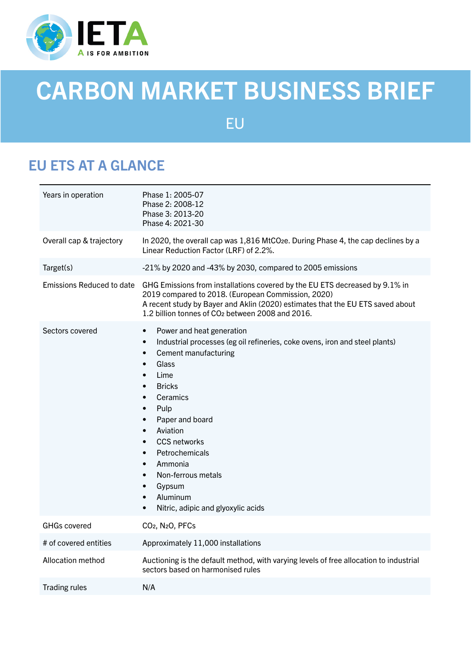

# CARBON MARKET BUSINESS BRIEF

EU

# EU ETS AT A GLANCE

| Years in operation        | Phase 1: 2005-07<br>Phase 2: 2008-12<br>Phase 3: 2013-20<br>Phase 4: 2021-30                                                                                                                                                                                                                                                                                                                                                                                                                                                                                                             |
|---------------------------|------------------------------------------------------------------------------------------------------------------------------------------------------------------------------------------------------------------------------------------------------------------------------------------------------------------------------------------------------------------------------------------------------------------------------------------------------------------------------------------------------------------------------------------------------------------------------------------|
| Overall cap & trajectory  | In 2020, the overall cap was 1,816 MtCO <sub>2</sub> e. During Phase 4, the cap declines by a<br>Linear Reduction Factor (LRF) of 2.2%.                                                                                                                                                                                                                                                                                                                                                                                                                                                  |
| Target(s)                 | -21% by 2020 and -43% by 2030, compared to 2005 emissions                                                                                                                                                                                                                                                                                                                                                                                                                                                                                                                                |
| Emissions Reduced to date | GHG Emissions from installations covered by the EU ETS decreased by 9.1% in<br>2019 compared to 2018. (European Commission, 2020)<br>A recent study by Bayer and Aklin (2020) estimates that the EU ETS saved about<br>1.2 billion tonnes of CO <sub>2</sub> between 2008 and 2016.                                                                                                                                                                                                                                                                                                      |
| Sectors covered           | Power and heat generation<br>$\bullet$<br>Industrial processes (eg oil refineries, coke ovens, iron and steel plants)<br>$\bullet$<br>Cement manufacturing<br>$\bullet$<br>Glass<br>$\bullet$<br>Lime<br>$\bullet$<br><b>Bricks</b><br>$\bullet$<br>Ceramics<br>$\bullet$<br>Pulp<br>$\bullet$<br>Paper and board<br>$\bullet$<br>Aviation<br>$\bullet$<br><b>CCS networks</b><br>$\bullet$<br>Petrochemicals<br>$\bullet$<br>Ammonia<br>$\bullet$<br>Non-ferrous metals<br>$\bullet$<br>Gypsum<br>$\bullet$<br>Aluminum<br>$\bullet$<br>Nitric, adipic and glyoxylic acids<br>$\bullet$ |
| <b>GHGs covered</b>       | CO <sub>2</sub> , N <sub>2</sub> O, PFC <sub>s</sub>                                                                                                                                                                                                                                                                                                                                                                                                                                                                                                                                     |
| # of covered entities     | Approximately 11,000 installations                                                                                                                                                                                                                                                                                                                                                                                                                                                                                                                                                       |
| Allocation method         | Auctioning is the default method, with varying levels of free allocation to industrial<br>sectors based on harmonised rules                                                                                                                                                                                                                                                                                                                                                                                                                                                              |
| <b>Trading rules</b>      | N/A                                                                                                                                                                                                                                                                                                                                                                                                                                                                                                                                                                                      |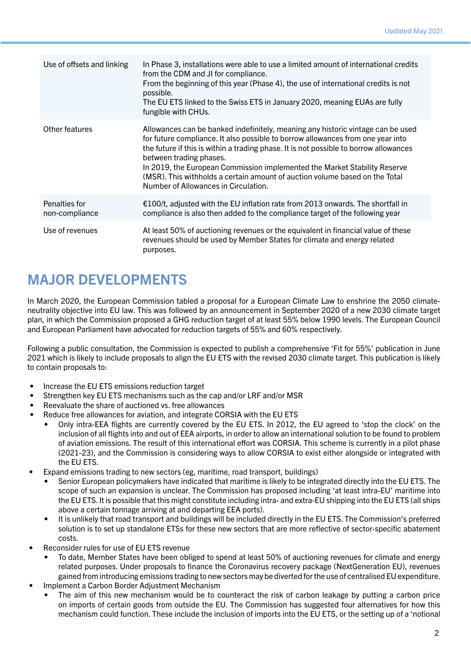| Use of offsets and linking      | In Phase 3, installations were able to use a limited amount of international credits<br>from the CDM and JI for compliance.<br>From the beginning of this year (Phase 4), the use of international credits is not<br>possible.<br>The EU ETS linked to the Swiss ETS in January 2020, meaning EUAs are fully<br>fungible with CHUs.                                                                                                                                                        |
|---------------------------------|--------------------------------------------------------------------------------------------------------------------------------------------------------------------------------------------------------------------------------------------------------------------------------------------------------------------------------------------------------------------------------------------------------------------------------------------------------------------------------------------|
| Other features                  | Allowances can be banked indefinitely, meaning any historic vintage can be used<br>for future compliance. It also possible to borrow allowances from one year into<br>the future if this is within a trading phase. It is not possible to borrow allowances<br>between trading phases.<br>In 2019, the European Commission implemented the Market Stability Reserve<br>(MSR). This withholds a certain amount of auction volume based on the Total<br>Number of Allowances in Circulation. |
| Penalties for<br>non-compliance | €100/t, adjusted with the EU inflation rate from 2013 onwards. The shortfall in<br>compliance is also then added to the compliance target of the following year                                                                                                                                                                                                                                                                                                                            |
| Use of revenues                 | At least 50% of auctioning revenues or the equivalent in financial value of these<br>revenues should be used by Member States for climate and energy related<br>purposes.                                                                                                                                                                                                                                                                                                                  |

# MAJOR DEVELOPMENTS

In March 2020, the European Commission tabled a proposal for a European Climate Law to enshrine the 2050 climateneutrality objective into EU law. This was followed by an announcement in September 2020 of a new 2030 climate target plan, in which the Commission proposed a GHG reduction target of at least 55% below 1990 levels. The European Council and European Parliament have advocated for reduction targets of 55% and 60% respectively.

Following a public consultation, the Commission is expected to publish a comprehensive 'Fit for 55%' publication in June 2021 which is likely to include proposals to align the EU ETS with the revised 2030 climate target. This publication is likely to contain proposals to:

- Increase the EU ETS emissions reduction target
- Strengthen key EU ETS mechanisms such as the cap and/or LRF and/or MSR
- Reevaluate the share of auctioned vs. free allowances
- Reduce free allowances for aviation, and integrate CORSIA with the EU ETS
	- Only intra-EEA flights are currently covered by the EU ETS. In 2012, the EU agreed to 'stop the clock' on the inclusion of all flights into and out of EEA airports, in order to allow an international solution to be found to problem of aviation emissions. The result of this international effort was CORSIA. This scheme is currently in a pilot phase (2021-23), and the Commission is considering ways to allow CORSIA to exist either alongside or integrated with the EU ETS.
- Expand emissions trading to new sectors (eg, maritime, road transport, buildings)
	- Senior European policymakers have indicated that maritime is likely to be integrated directly into the EU ETS. The scope of such an expansion is unclear. The Commission has proposed including 'at least intra-EU' maritime into the EU ETS. It is possible that this might constitute including intra- and extra-EU shipping into the EU ETS (all ships above a certain tonnage arriving at and departing EEA ports).
	- It is unlikely that road transport and buildings will be included directly in the EU ETS. The Commission's preferred solution is to set up standalone ETSs for these new sectors that are more reflective of sector-specific abatement costs.
- Reconsider rules for use of EU ETS revenue
	- To date, Member States have been obliged to spend at least 50% of auctioning revenues for climate and energy related purposes. Under proposals to finance the Coronavirus recovery package (NextGeneration EU), revenues gained from introducing emissions trading to new sectors may be diverted for the use of centralised EU expenditure.
- Implement a Carbon Border Adjustment Mechanism
	- The aim of this new mechanism would be to counteract the risk of carbon leakage by putting a carbon price on imports of certain goods from outside the EU. The Commission has suggested four alternatives for how this mechanism could function. These include the inclusion of imports into the EU ETS, or the setting up of a 'notional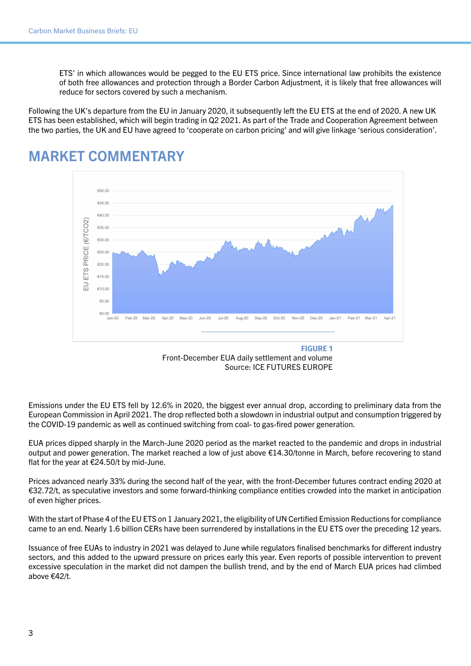ETS' in which allowances would be pegged to the EU ETS price. Since international law prohibits the existence of both free allowances and protection through a Border Carbon Adjustment, it is likely that free allowances will reduce for sectors covered by such a mechanism.

Following the UK's departure from the EU in January 2020, it subsequently left the EU ETS at the end of 2020. A new UK ETS has been established, which will begin trading in Q2 2021. As part of the Trade and Cooperation Agreement between the two parties, the UK and EU have agreed to 'cooperate on carbon pricing' and will give linkage 'serious consideration'.



#### MARKET COMMENTARY

Front-December EUA daily settlement and volume Source: ICE FUTURES EUROPE

Emissions under the EU ETS fell by 12.6% in 2020, the biggest ever annual drop, according to preliminary data from the European Commission in April 2021. The drop reflected both a slowdown in industrial output and consumption triggered by the COVID-19 pandemic as well as continued switching from coal- to gas-fired power generation.

EUA prices dipped sharply in the March-June 2020 period as the market reacted to the pandemic and drops in industrial output and power generation. The market reached a low of just above €14.30/tonne in March, before recovering to stand flat for the year at €24.50/t by mid-June.

Prices advanced nearly 33% during the second half of the year, with the front-December futures contract ending 2020 at €32.72/t, as speculative investors and some forward-thinking compliance entities crowded into the market in anticipation of even higher prices.

With the start of Phase 4 of the EU ETS on 1 January 2021, the eligibility of UN Certified Emission Reductions for compliance came to an end. Nearly 1.6 billion CERs have been surrendered by installations in the EU ETS over the preceding 12 years.

Issuance of free EUAs to industry in 2021 was delayed to June while regulators finalised benchmarks for different industry sectors, and this added to the upward pressure on prices early this year. Even reports of possible intervention to prevent excessive speculation in the market did not dampen the bullish trend, and by the end of March EUA prices had climbed above €42/t.